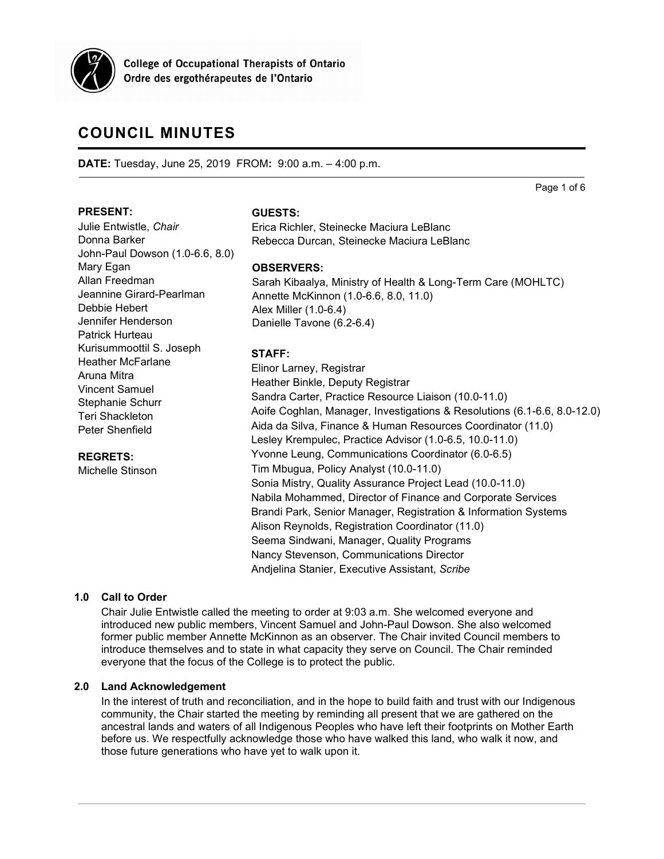

**College of Occupational Therapists of Ontario** Ordre des ergothérapeutes de l'Ontario

# **COUNCIL MINUTES**

John-Paul Dowson (1.0-6.6, 8.0)

Jeannine Girard-Pearlman

Kurisummoottil S. Joseph Heather McFarlane

**DATE:** Tuesday, June 25, 2019 FROM**:** 9:00 a.m. – 4:00 p.m.

Page 1 of 6

#### **PRESENT:**

Mary Egan Allan Freedman

Donna Barker

Debbie Hebert Jennifer Henderson Patrick Hurteau

Aruna Mitra Vincent Samuel Stephanie Schurr Teri Shackleton Peter Shenfield

**REGRETS:** Michelle Stinson

Julie Entwistle, *Chair*

#### **GUESTS:**

Erica Richler, Steinecke Maciura LeBlanc Rebecca Durcan, Steinecke Maciura LeBlanc

## **OBSERVERS:**

 Annette McKinnon (1.0-6.6, 8.0, 11.0) Danielle Tavone (6.2-6.4)Sarah Kibaalya, Ministry of Health & Long-Term Care (MOHLTC) Alex Miller (1.0-6.4)

## **STAFF:**

Elinor Larney, Registrar Heather Binkle, Deputy Registrar Sandra Carter, Practice Resource Liaison (10.0-11.0) Aoife Coghlan, Manager, Investigations & Resolutions (6.1-6.6, 8.0-12.0) Aida da Silva, Finance & Human Resources Coordinator (11.0) Lesley Krempulec, Practice Advisor (1.0-6.5, 10.0-11.0) Yvonne Leung, Communications Coordinator (6.0-6.5) Tim Mbugua, Policy Analyst (10.0-11.0) Sonia Mistry, Quality Assurance Project Lead (10.0-11.0) Nabila Mohammed, Director of Finance and Corporate Services Brandi Park, Senior Manager, Registration & Information Systems Alison Reynolds, Registration Coordinator (11.0) Seema Sindwani, Manager, Quality Programs Nancy Stevenson, Communications Director Andjelina Stanier, Executive Assistant, *Scribe*

# **1.0 Call to Order**

Chair Julie Entwistle called the meeting to order at 9:03 a.m. She welcomed everyone and introduced new public members, Vincent Samuel and John-Paul Dowson. She also welcomed former public member Annette McKinnon as an observer. The Chair invited Council members to introduce themselves and to state in what capacity they serve on Council. The Chair reminded everyone that the focus of the College is to protect the public.

#### **2.0 Land Acknowledgement**

In the interest of truth and reconciliation, and in the hope to build faith and trust with our Indigenous community, the Chair started the meeting by reminding all present that we are gathered on the ancestral lands and waters of all Indigenous Peoples who have left their footprints on Mother Earth before us. We respectfully acknowledge those who have walked this land, who walk it now, and those future generations who have yet to walk upon it.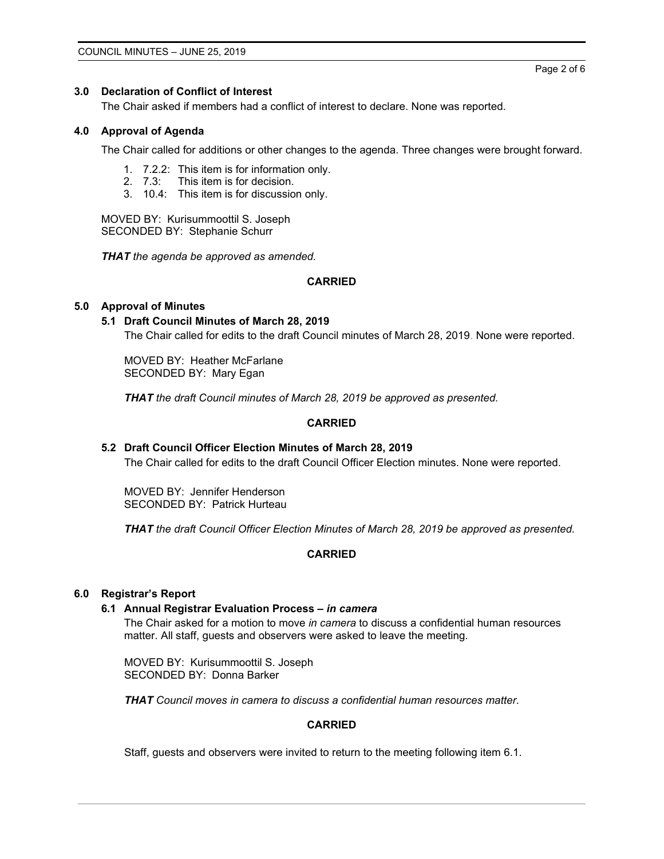#### Page 2 of 6

#### **3.0 Declaration of Conflict of Interest**

The Chair asked if members had a conflict of interest to declare. None was reported.

#### **4.0 Approval of Agenda**

The Chair called for additions or other changes to the agenda. Three changes were brought forward.

- 1. 7.2.2: This item is for information only.
- 2. 7.3: This item is for decision.
- 3. 10.4: This item is for discussion only.

MOVED BY: Kurisummoottil S. Joseph SECONDED BY: Stephanie Schurr

*THAT the agenda be approved as amended.*

## **CARRIED**

#### **5.0 Approval of Minutes**

#### **5.1 Draft Council Minutes of March 28, 2019**

The Chair called for edits to the draft Council minutes of March 28, 2019. None were reported.

MOVED BY: Heather McFarlane SECONDED BY: Mary Egan

*THAT the draft Council minutes of March 28, 2019 be approved as presented.*

## **CARRIED**

# **5.2 Draft Council Officer Election Minutes of March 28, 2019**

The Chair called for edits to the draft Council Officer Election minutes. None were reported.

MOVED BY: Jennifer Henderson SECONDED BY: Patrick Hurteau

*THAT the draft Council Officer Election Minutes of March 28, 2019 be approved as presented.*

# **CARRIED**

## **6.0 Registrar's Report**

#### **6.1 Annual Registrar Evaluation Process –** *in camera*

The Chair asked for a motion to move *in camera* to discuss a confidential human resources matter. All staff, guests and observers were asked to leave the meeting.

MOVED BY: Kurisummoottil S. Joseph SECONDED BY: Donna Barker

*THAT Council moves in camera to discuss a confidential human resources matter.*

#### **CARRIED**

Staff, guests and observers were invited to return to the meeting following item 6.1.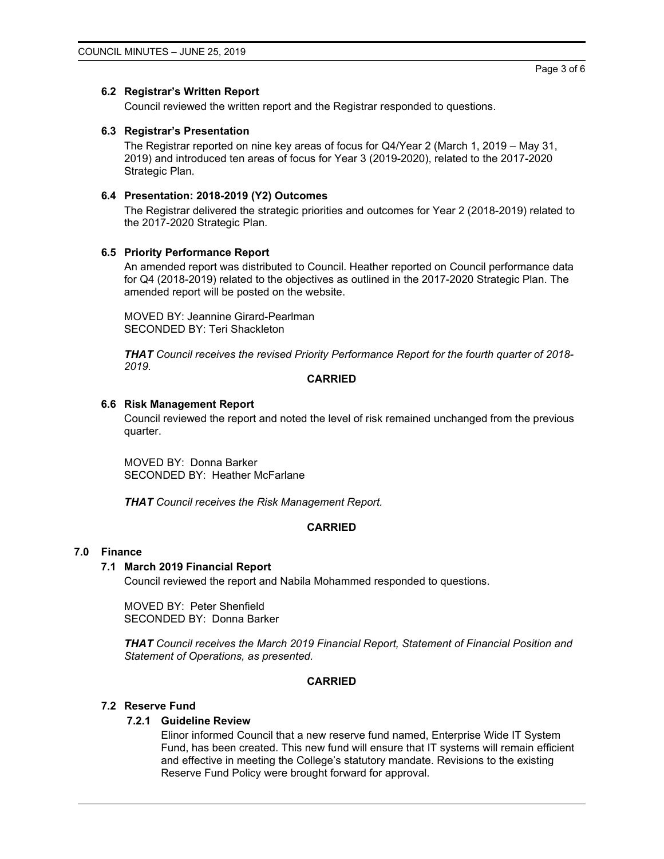#### **6.2 Registrar's Written Report**

Council reviewed the written report and the Registrar responded to questions.

#### **6.3 Registrar's Presentation**

The Registrar reported on nine key areas of focus for Q4/Year 2 (March 1, 2019 – May 31, 2019) and introduced ten areas of focus for Year 3 (2019-2020), related to the 2017-2020 Strategic Plan.

# **6.4 Presentation: 2018-2019 (Y2) Outcomes**

The Registrar delivered the strategic priorities and outcomes for Year 2 (2018-2019) related to the 2017-2020 Strategic Plan.

## **6.5 Priority Performance Report**

An amended report was distributed to Council. Heather reported on Council performance data for Q4 (2018-2019) related to the objectives as outlined in the 2017-2020 Strategic Plan. The amended report will be posted on the website.

MOVED BY: Jeannine Girard-Pearlman SECONDED BY: Teri Shackleton

*THAT Council receives the revised Priority Performance Report for the fourth quarter of 2018- 2019.*

#### **CARRIED**

#### **6.6 Risk Management Report**

Council reviewed the report and noted the level of risk remained unchanged from the previous quarter.

MOVED BY: Donna Barker SECONDED BY: Heather McFarlane

*THAT Council receives the Risk Management Report.*

# **CARRIED**

# **7.0 Finance**

#### **7.1 March 2019 Financial Report**

Council reviewed the report and Nabila Mohammed responded to questions.

MOVED BY: Peter Shenfield SECONDED BY: Donna Barker

*THAT Council receives the March 2019 Financial Report, Statement of Financial Position and Statement of Operations, as presented.*

## **CARRIED**

## **7.2 Reserve Fund**

#### **7.2.1 Guideline Review**

Elinor informed Council that a new reserve fund named, Enterprise Wide IT System Fund, has been created. This new fund will ensure that IT systems will remain efficient and effective in meeting the College's statutory mandate. Revisions to the existing Reserve Fund Policy were brought forward for approval.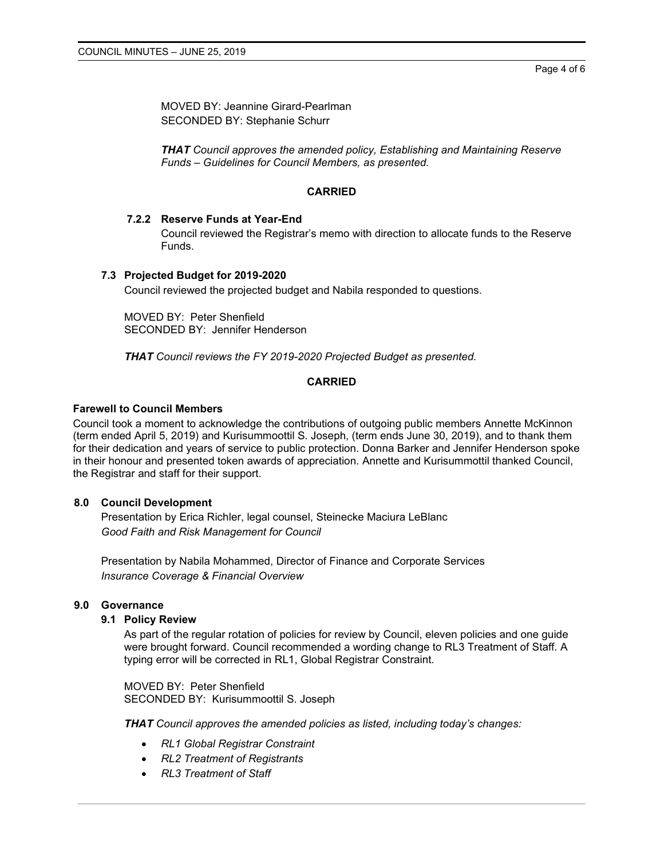MOVED BY: Jeannine Girard-Pearlman SECONDED BY: Stephanie Schurr

*THAT Council approves the amended policy, Establishing and Maintaining Reserve Funds – Guidelines for Council Members, as presented.*

#### **CARRIED**

#### **7.2.2 Reserve Funds at Year-End**

Council reviewed the Registrar's memo with direction to allocate funds to the Reserve Funds.

## **7.3 Projected Budget for 2019-2020**

Council reviewed the projected budget and Nabila responded to questions.

MOVED BY: Peter Shenfield SECONDED BY: Jennifer Henderson

*THAT Council reviews the FY 2019-2020 Projected Budget as presented.*

## **CARRIED**

#### **Farewell to Council Members**

Council took a moment to acknowledge the contributions of outgoing public members Annette McKinnon (term ended April 5, 2019) and Kurisummoottil S. Joseph, (term ends June 30, 2019), and to thank them for their dedication and years of service to public protection. Donna Barker and Jennifer Henderson spoke in their honour and presented token awards of appreciation. Annette and Kurisummottil thanked Council, the Registrar and staff for their support.

## **8.0 Council Development**

Presentation by Erica Richler, legal counsel, Steinecke Maciura LeBlanc *Good Faith and Risk Management for Council*

Presentation by Nabila Mohammed, Director of Finance and Corporate Services *Insurance Coverage & Financial Overview*

#### **9.0 Governance**

# **9.1 Policy Review**

As part of the regular rotation of policies for review by Council, eleven policies and one guide were brought forward. Council recommended a wording change to RL3 Treatment of Staff. A typing error will be corrected in RL1, Global Registrar Constraint.

MOVED BY: Peter Shenfield SECONDED BY: Kurisummoottil S. Joseph

*THAT Council approves the amended policies as listed, including today's changes:*

- *RL1 Global Registrar Constraint*
- *RL2 Treatment of Registrants*
- *RL3 Treatment of Staff*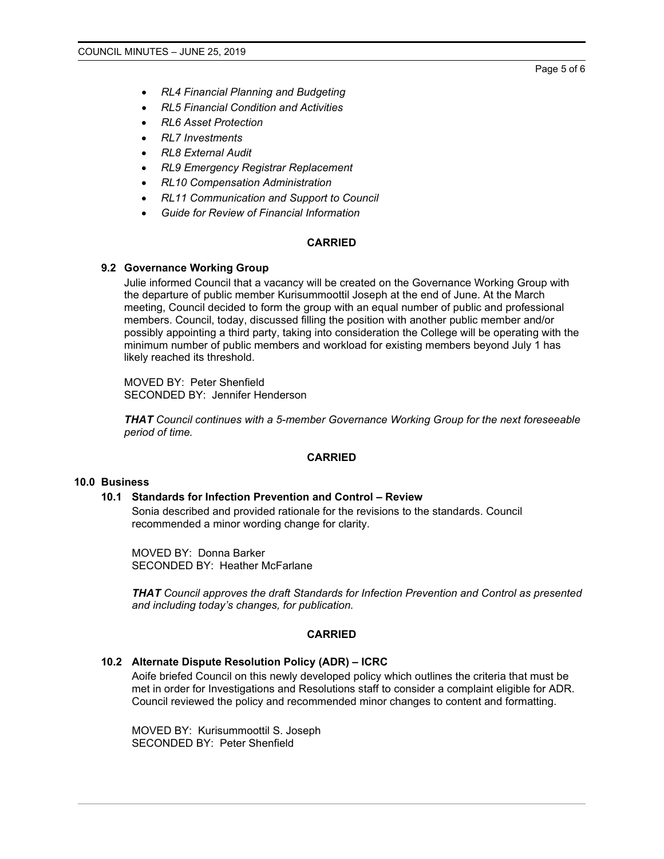Page 5 of 6

- *RL4 Financial Planning and Budgeting*
- *RL5 Financial Condition and Activities*
- *RL6 Asset Protection*
- *RL7 Investments*
- *RL8 External Audit*
- *RL9 Emergency Registrar Replacement*
- *RL10 Compensation Administration*
- *RL11 Communication and Support to Council*
- *Guide for Review of Financial Information*

#### **CARRIED**

## **9.2 Governance Working Group**

Julie informed Council that a vacancy will be created on the Governance Working Group with the departure of public member Kurisummoottil Joseph at the end of June. At the March meeting, Council decided to form the group with an equal number of public and professional members. Council, today, discussed filling the position with another public member and/or possibly appointing a third party, taking into consideration the College will be operating with the minimum number of public members and workload for existing members beyond July 1 has likely reached its threshold.

MOVED BY: Peter Shenfield SECONDED BY: Jennifer Henderson

*THAT Council continues with a 5-member Governance Working Group for the next foreseeable period of time.*

#### **CARRIED**

## **10.0 Business**

#### **10.1 Standards for Infection Prevention and Control – Review**

Sonia described and provided rationale for the revisions to the standards. Council recommended a minor wording change for clarity.

MOVED BY: Donna Barker SECONDED BY: Heather McFarlane

*THAT Council approves the draft Standards for Infection Prevention and Control as presented and including today's changes, for publication.*

#### **CARRIED**

#### **10.2 Alternate Dispute Resolution Policy (ADR) – ICRC**

Aoife briefed Council on this newly developed policy which outlines the criteria that must be met in order for Investigations and Resolutions staff to consider a complaint eligible for ADR. Council reviewed the policy and recommended minor changes to content and formatting.

MOVED BY: Kurisummoottil S. Joseph SECONDED BY: Peter Shenfield